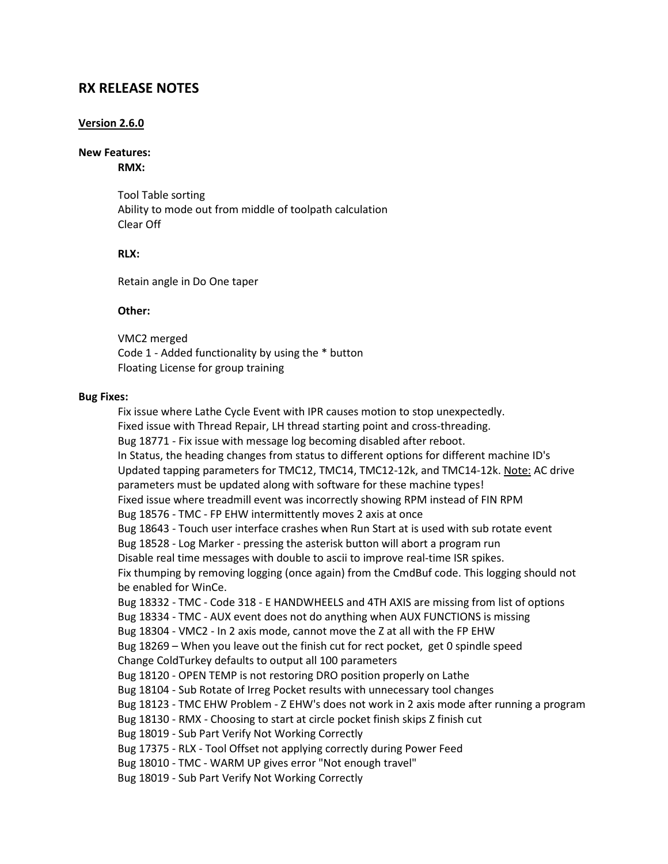# **RX RELEASE NOTES**

### **Version 2.6.0**

#### **New Features:**

**RMX:**

Tool Table sorting Ability to mode out from middle of toolpath calculation Clear Off

#### **RLX:**

Retain angle in Do One taper

#### **Other:**

VMC2 merged Code 1 - Added functionality by using the \* button Floating License for group training

#### **Bug Fixes:**

Fix issue where Lathe Cycle Event with IPR causes motion to stop unexpectedly. Fixed issue with Thread Repair, LH thread starting point and cross-threading. Bug 18771 - Fix issue with message log becoming disabled after reboot. In Status, the heading changes from status to different options for different machine ID's Updated tapping parameters for TMC12, TMC14, TMC12-12k, and TMC14-12k. Note: AC drive parameters must be updated along with software for these machine types! Fixed issue where treadmill event was incorrectly showing RPM instead of FIN RPM Bug 18576 - TMC - FP EHW intermittently moves 2 axis at once Bug 18643 - Touch user interface crashes when Run Start at is used with sub rotate event Bug 18528 - Log Marker - pressing the asterisk button will abort a program run Disable real time messages with double to ascii to improve real-time ISR spikes. Fix thumping by removing logging (once again) from the CmdBuf code. This logging should not be enabled for WinCe. Bug 18332 - TMC - Code 318 - E HANDWHEELS and 4TH AXIS are missing from list of options Bug 18334 - TMC - AUX event does not do anything when AUX FUNCTIONS is missing Bug 18304 - VMC2 - In 2 axis mode, cannot move the Z at all with the FP EHW Bug 18269 – When you leave out the finish cut for rect pocket, get 0 spindle speed Change ColdTurkey defaults to output all 100 parameters Bug 18120 - OPEN TEMP is not restoring DRO position properly on Lathe Bug 18104 - Sub Rotate of Irreg Pocket results with unnecessary tool changes Bug 18123 - TMC EHW Problem - Z EHW's does not work in 2 axis mode after running a program Bug 18130 - RMX - Choosing to start at circle pocket finish skips Z finish cut Bug 18019 - Sub Part Verify Not Working Correctly Bug 17375 - RLX - Tool Offset not applying correctly during Power Feed Bug 18010 - TMC - WARM UP gives error "Not enough travel" Bug 18019 - Sub Part Verify Not Working Correctly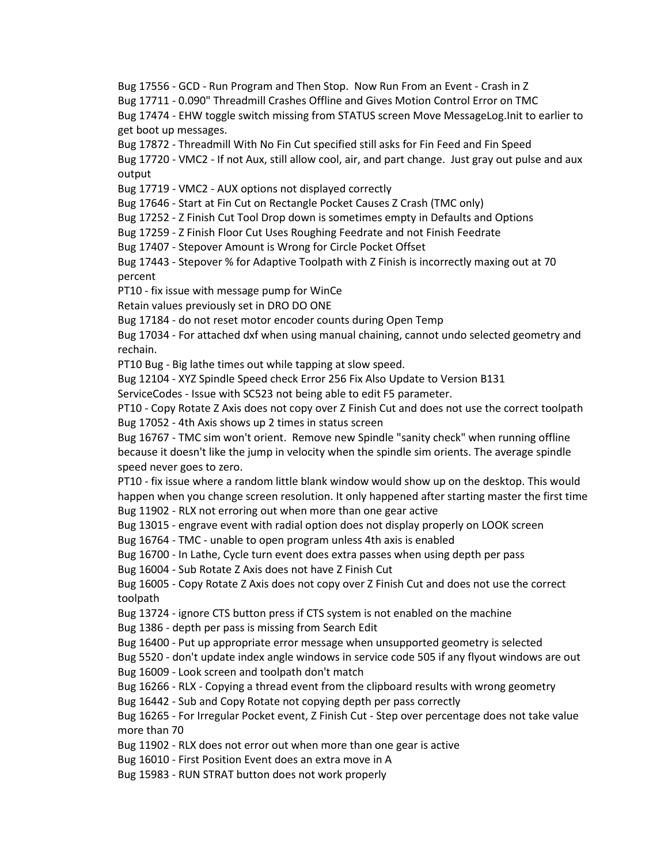Bug 17556 - GCD - Run Program and Then Stop. Now Run From an Event - Crash in Z Bug 17711 - 0.090" Threadmill Crashes Offline and Gives Motion Control Error on TMC Bug 17474 - EHW toggle switch missing from STATUS screen Move MessageLog.Init to earlier to get boot up messages.

Bug 17872 - Threadmill With No Fin Cut specified still asks for Fin Feed and Fin Speed

Bug 17720 - VMC2 - If not Aux, still allow cool, air, and part change. Just gray out pulse and aux output

Bug 17719 - VMC2 - AUX options not displayed correctly

Bug 17646 - Start at Fin Cut on Rectangle Pocket Causes Z Crash (TMC only)

Bug 17252 - Z Finish Cut Tool Drop down is sometimes empty in Defaults and Options

Bug 17259 - Z Finish Floor Cut Uses Roughing Feedrate and not Finish Feedrate

Bug 17407 - Stepover Amount is Wrong for Circle Pocket Offset

Bug 17443 - Stepover % for Adaptive Toolpath with Z Finish is incorrectly maxing out at 70 percent

PT10 - fix issue with message pump for WinCe

Retain values previously set in DRO DO ONE

Bug 17184 - do not reset motor encoder counts during Open Temp

Bug 17034 - For attached dxf when using manual chaining, cannot undo selected geometry and rechain.

PT10 Bug - Big lathe times out while tapping at slow speed.

Bug 12104 - XYZ Spindle Speed check Error 256 Fix Also Update to Version B131

ServiceCodes - Issue with SC523 not being able to edit F5 parameter.

PT10 - Copy Rotate Z Axis does not copy over Z Finish Cut and does not use the correct toolpath Bug 17052 - 4th Axis shows up 2 times in status screen

Bug 16767 - TMC sim won't orient. Remove new Spindle "sanity check" when running offline because it doesn't like the jump in velocity when the spindle sim orients. The average spindle speed never goes to zero.

PT10 - fix issue where a random little blank window would show up on the desktop. This would happen when you change screen resolution. It only happened after starting master the first time Bug 11902 - RLX not erroring out when more than one gear active

Bug 13015 - engrave event with radial option does not display properly on LOOK screen

Bug 16764 - TMC - unable to open program unless 4th axis is enabled

Bug 16700 - In Lathe, Cycle turn event does extra passes when using depth per pass

Bug 16004 - Sub Rotate Z Axis does not have Z Finish Cut

Bug 16005 - Copy Rotate Z Axis does not copy over Z Finish Cut and does not use the correct toolpath

Bug 13724 - ignore CTS button press if CTS system is not enabled on the machine

Bug 1386 - depth per pass is missing from Search Edit

Bug 16400 - Put up appropriate error message when unsupported geometry is selected

Bug 5520 - don't update index angle windows in service code 505 if any flyout windows are out Bug 16009 - Look screen and toolpath don't match

Bug 16266 - RLX - Copying a thread event from the clipboard results with wrong geometry

Bug 16442 - Sub and Copy Rotate not copying depth per pass correctly

Bug 16265 - For Irregular Pocket event, Z Finish Cut - Step over percentage does not take value more than 70

Bug 11902 - RLX does not error out when more than one gear is active

Bug 16010 - First Position Event does an extra move in A

Bug 15983 - RUN STRAT button does not work properly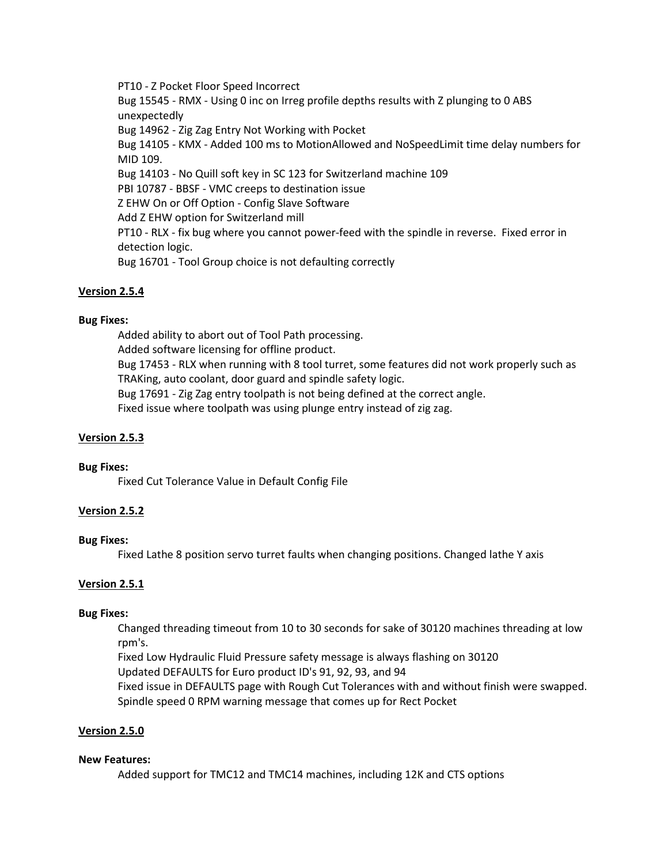PT10 - Z Pocket Floor Speed Incorrect

Bug 15545 - RMX - Using 0 inc on Irreg profile depths results with Z plunging to 0 ABS unexpectedly Bug 14962 - Zig Zag Entry Not Working with Pocket Bug 14105 - KMX - Added 100 ms to MotionAllowed and NoSpeedLimit time delay numbers for MID 109. Bug 14103 - No Quill soft key in SC 123 for Switzerland machine 109 PBI 10787 - BBSF - VMC creeps to destination issue Z EHW On or Off Option - Config Slave Software Add Z EHW option for Switzerland mill PT10 - RLX - fix bug where you cannot power-feed with the spindle in reverse. Fixed error in detection logic. Bug 16701 - Tool Group choice is not defaulting correctly

# **Version 2.5.4**

# **Bug Fixes:**

Added ability to abort out of Tool Path processing. Added software licensing for offline product. Bug 17453 - RLX when running with 8 tool turret, some features did not work properly such as TRAKing, auto coolant, door guard and spindle safety logic. Bug 17691 - Zig Zag entry toolpath is not being defined at the correct angle. Fixed issue where toolpath was using plunge entry instead of zig zag.

# **Version 2.5.3**

# **Bug Fixes:**

Fixed Cut Tolerance Value in Default Config File

# **Version 2.5.2**

# **Bug Fixes:**

Fixed Lathe 8 position servo turret faults when changing positions. Changed lathe Y axis

# **Version 2.5.1**

# **Bug Fixes:**

Changed threading timeout from 10 to 30 seconds for sake of 30120 machines threading at low rpm's.

Fixed Low Hydraulic Fluid Pressure safety message is always flashing on 30120 Updated DEFAULTS for Euro product ID's 91, 92, 93, and 94 Fixed issue in DEFAULTS page with Rough Cut Tolerances with and without finish were swapped. Spindle speed 0 RPM warning message that comes up for Rect Pocket

# **Version 2.5.0**

# **New Features:**

Added support for TMC12 and TMC14 machines, including 12K and CTS options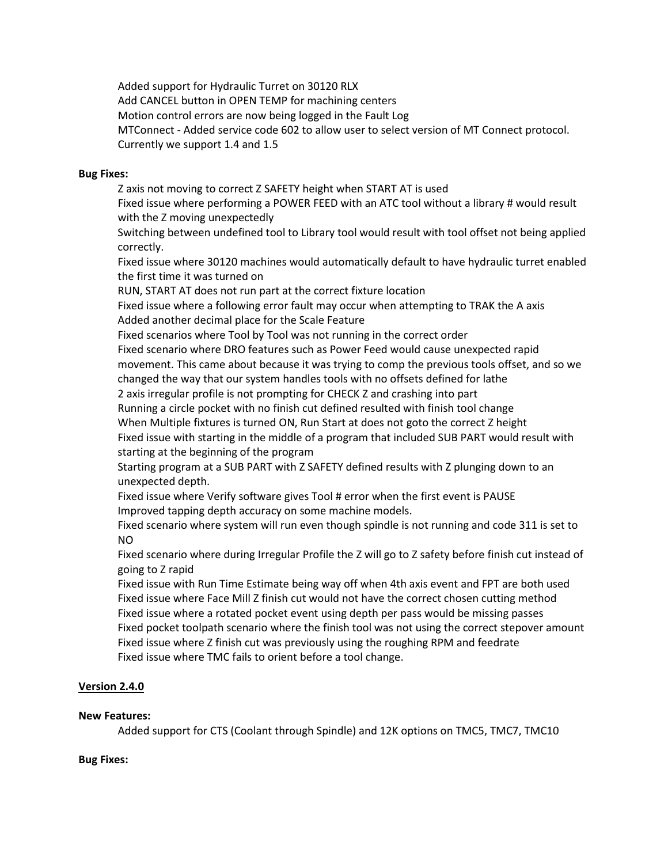Added support for Hydraulic Turret on 30120 RLX Add CANCEL button in OPEN TEMP for machining centers Motion control errors are now being logged in the Fault Log MTConnect - Added service code 602 to allow user to select version of MT Connect protocol. Currently we support 1.4 and 1.5

## **Bug Fixes:**

Z axis not moving to correct Z SAFETY height when START AT is used Fixed issue where performing a POWER FEED with an ATC tool without a library # would result with the Z moving unexpectedly Switching between undefined tool to Library tool would result with tool offset not being applied correctly. Fixed issue where 30120 machines would automatically default to have hydraulic turret enabled the first time it was turned on RUN, START AT does not run part at the correct fixture location Fixed issue where a following error fault may occur when attempting to TRAK the A axis Added another decimal place for the Scale Feature Fixed scenarios where Tool by Tool was not running in the correct order Fixed scenario where DRO features such as Power Feed would cause unexpected rapid movement. This came about because it was trying to comp the previous tools offset, and so we changed the way that our system handles tools with no offsets defined for lathe 2 axis irregular profile is not prompting for CHECK Z and crashing into part Running a circle pocket with no finish cut defined resulted with finish tool change When Multiple fixtures is turned ON, Run Start at does not goto the correct Z height Fixed issue with starting in the middle of a program that included SUB PART would result with starting at the beginning of the program Starting program at a SUB PART with Z SAFETY defined results with Z plunging down to an unexpected depth. Fixed issue where Verify software gives Tool # error when the first event is PAUSE Improved tapping depth accuracy on some machine models. Fixed scenario where system will run even though spindle is not running and code 311 is set to NO Fixed scenario where during Irregular Profile the Z will go to Z safety before finish cut instead of going to Z rapid Fixed issue with Run Time Estimate being way off when 4th axis event and FPT are both used Fixed issue where Face Mill Z finish cut would not have the correct chosen cutting method Fixed issue where a rotated pocket event using depth per pass would be missing passes Fixed pocket toolpath scenario where the finish tool was not using the correct stepover amount Fixed issue where Z finish cut was previously using the roughing RPM and feedrate

Fixed issue where TMC fails to orient before a tool change.

# **Version 2.4.0**

# **New Features:**

Added support for CTS (Coolant through Spindle) and 12K options on TMC5, TMC7, TMC10

# **Bug Fixes:**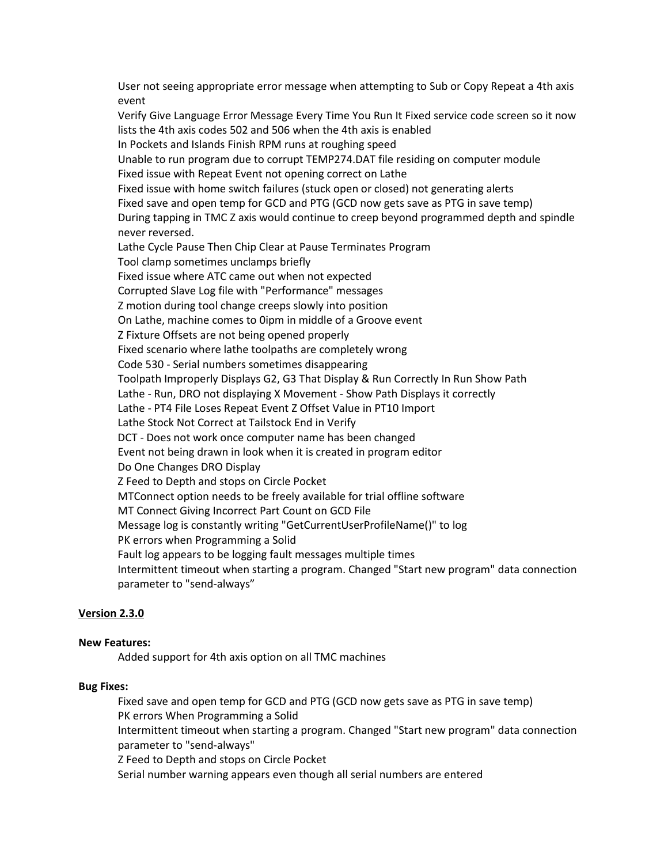User not seeing appropriate error message when attempting to Sub or Copy Repeat a 4th axis event Verify Give Language Error Message Every Time You Run It Fixed service code screen so it now lists the 4th axis codes 502 and 506 when the 4th axis is enabled In Pockets and Islands Finish RPM runs at roughing speed Unable to run program due to corrupt TEMP274.DAT file residing on computer module Fixed issue with Repeat Event not opening correct on Lathe Fixed issue with home switch failures (stuck open or closed) not generating alerts Fixed save and open temp for GCD and PTG (GCD now gets save as PTG in save temp) During tapping in TMC Z axis would continue to creep beyond programmed depth and spindle never reversed. Lathe Cycle Pause Then Chip Clear at Pause Terminates Program Tool clamp sometimes unclamps briefly Fixed issue where ATC came out when not expected Corrupted Slave Log file with "Performance" messages Z motion during tool change creeps slowly into position On Lathe, machine comes to 0ipm in middle of a Groove event Z Fixture Offsets are not being opened properly Fixed scenario where lathe toolpaths are completely wrong Code 530 - Serial numbers sometimes disappearing Toolpath Improperly Displays G2, G3 That Display & Run Correctly In Run Show Path Lathe - Run, DRO not displaying X Movement - Show Path Displays it correctly Lathe - PT4 File Loses Repeat Event Z Offset Value in PT10 Import Lathe Stock Not Correct at Tailstock End in Verify DCT - Does not work once computer name has been changed Event not being drawn in look when it is created in program editor Do One Changes DRO Display Z Feed to Depth and stops on Circle Pocket MTConnect option needs to be freely available for trial offline software MT Connect Giving Incorrect Part Count on GCD File Message log is constantly writing "GetCurrentUserProfileName()" to log PK errors when Programming a Solid Fault log appears to be logging fault messages multiple times Intermittent timeout when starting a program. Changed "Start new program" data connection parameter to "send-always"

# **Version 2.3.0**

### **New Features:**

Added support for 4th axis option on all TMC machines

### **Bug Fixes:**

Fixed save and open temp for GCD and PTG (GCD now gets save as PTG in save temp) PK errors When Programming a Solid Intermittent timeout when starting a program. Changed "Start new program" data connection parameter to "send-always"

Z Feed to Depth and stops on Circle Pocket

Serial number warning appears even though all serial numbers are entered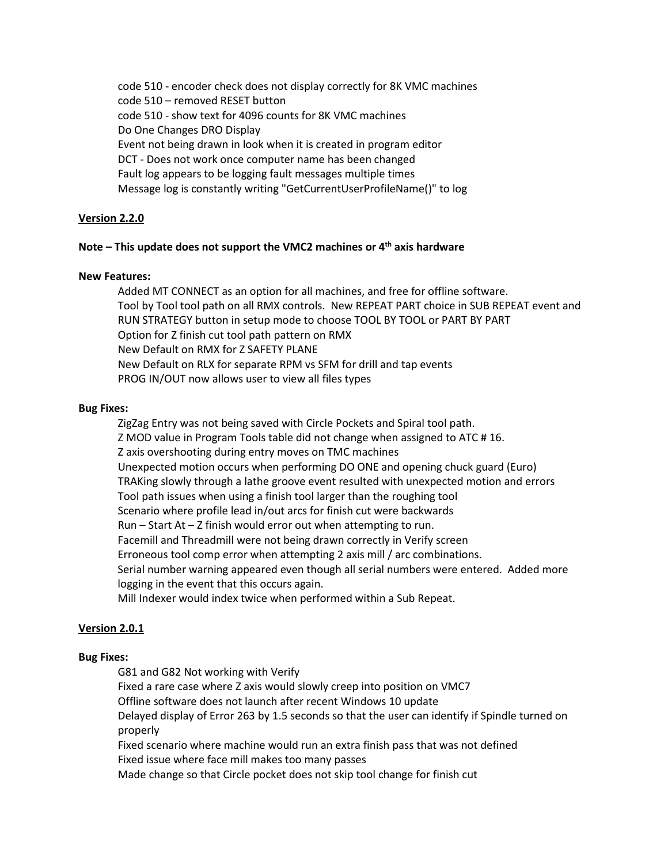code 510 - encoder check does not display correctly for 8K VMC machines code 510 – removed RESET button code 510 - show text for 4096 counts for 8K VMC machines Do One Changes DRO Display Event not being drawn in look when it is created in program editor DCT - Does not work once computer name has been changed Fault log appears to be logging fault messages multiple times Message log is constantly writing "GetCurrentUserProfileName()" to log

# **Version 2.2.0**

## **Note – This update does not support the VMC2 machines or 4th axis hardware**

## **New Features:**

Added MT CONNECT as an option for all machines, and free for offline software. Tool by Tool tool path on all RMX controls. New REPEAT PART choice in SUB REPEAT event and RUN STRATEGY button in setup mode to choose TOOL BY TOOL or PART BY PART Option for Z finish cut tool path pattern on RMX New Default on RMX for Z SAFETY PLANE New Default on RLX for separate RPM vs SFM for drill and tap events PROG IN/OUT now allows user to view all files types

## **Bug Fixes:**

ZigZag Entry was not being saved with Circle Pockets and Spiral tool path. Z MOD value in Program Tools table did not change when assigned to ATC # 16. Z axis overshooting during entry moves on TMC machines Unexpected motion occurs when performing DO ONE and opening chuck guard (Euro) TRAKing slowly through a lathe groove event resulted with unexpected motion and errors Tool path issues when using a finish tool larger than the roughing tool Scenario where profile lead in/out arcs for finish cut were backwards Run – Start At – Z finish would error out when attempting to run. Facemill and Threadmill were not being drawn correctly in Verify screen Erroneous tool comp error when attempting 2 axis mill / arc combinations. Serial number warning appeared even though all serial numbers were entered. Added more logging in the event that this occurs again. Mill Indexer would index twice when performed within a Sub Repeat.

# **Version 2.0.1**

### **Bug Fixes:**

G81 and G82 Not working with Verify Fixed a rare case where Z axis would slowly creep into position on VMC7 Offline software does not launch after recent Windows 10 update Delayed display of Error 263 by 1.5 seconds so that the user can identify if Spindle turned on properly Fixed scenario where machine would run an extra finish pass that was not defined Fixed issue where face mill makes too many passes Made change so that Circle pocket does not skip tool change for finish cut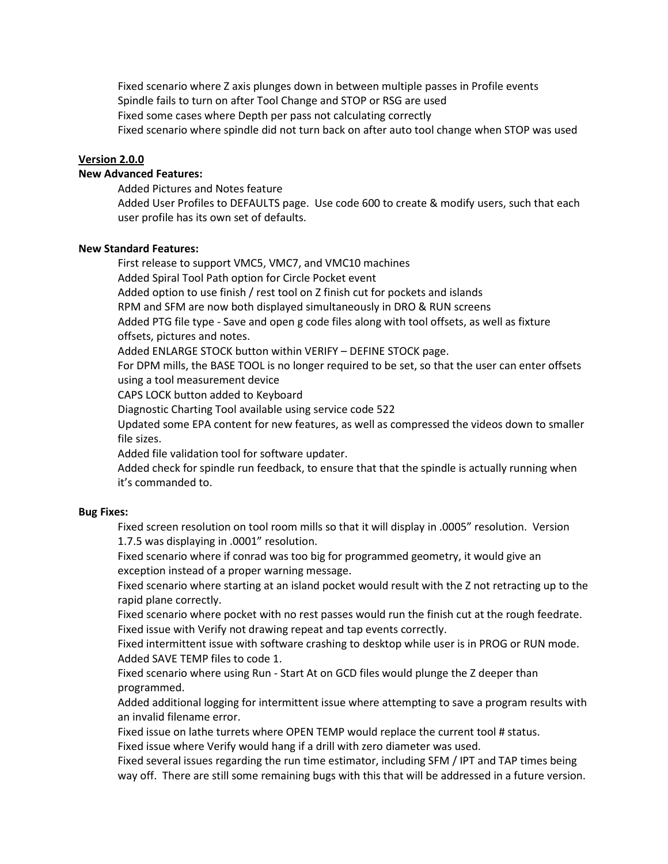Fixed scenario where Z axis plunges down in between multiple passes in Profile events Spindle fails to turn on after Tool Change and STOP or RSG are used Fixed some cases where Depth per pass not calculating correctly Fixed scenario where spindle did not turn back on after auto tool change when STOP was used

#### **Version 2.0.0**

# **New Advanced Features:**

Added Pictures and Notes feature

Added User Profiles to DEFAULTS page. Use code 600 to create & modify users, such that each user profile has its own set of defaults.

### **New Standard Features:**

First release to support VMC5, VMC7, and VMC10 machines Added Spiral Tool Path option for Circle Pocket event Added option to use finish / rest tool on Z finish cut for pockets and islands RPM and SFM are now both displayed simultaneously in DRO & RUN screens Added PTG file type - Save and open g code files along with tool offsets, as well as fixture offsets, pictures and notes. Added ENLARGE STOCK button within VERIFY – DEFINE STOCK page.

For DPM mills, the BASE TOOL is no longer required to be set, so that the user can enter offsets using a tool measurement device

CAPS LOCK button added to Keyboard

Diagnostic Charting Tool available using service code 522

Updated some EPA content for new features, as well as compressed the videos down to smaller file sizes.

Added file validation tool for software updater.

Added check for spindle run feedback, to ensure that that the spindle is actually running when it's commanded to.

#### **Bug Fixes:**

Fixed screen resolution on tool room mills so that it will display in .0005" resolution. Version 1.7.5 was displaying in .0001" resolution.

Fixed scenario where if conrad was too big for programmed geometry, it would give an exception instead of a proper warning message.

Fixed scenario where starting at an island pocket would result with the Z not retracting up to the rapid plane correctly.

Fixed scenario where pocket with no rest passes would run the finish cut at the rough feedrate. Fixed issue with Verify not drawing repeat and tap events correctly.

Fixed intermittent issue with software crashing to desktop while user is in PROG or RUN mode. Added SAVE TEMP files to code 1.

Fixed scenario where using Run - Start At on GCD files would plunge the Z deeper than programmed.

Added additional logging for intermittent issue where attempting to save a program results with an invalid filename error.

Fixed issue on lathe turrets where OPEN TEMP would replace the current tool # status.

Fixed issue where Verify would hang if a drill with zero diameter was used.

Fixed several issues regarding the run time estimator, including SFM / IPT and TAP times being way off. There are still some remaining bugs with this that will be addressed in a future version.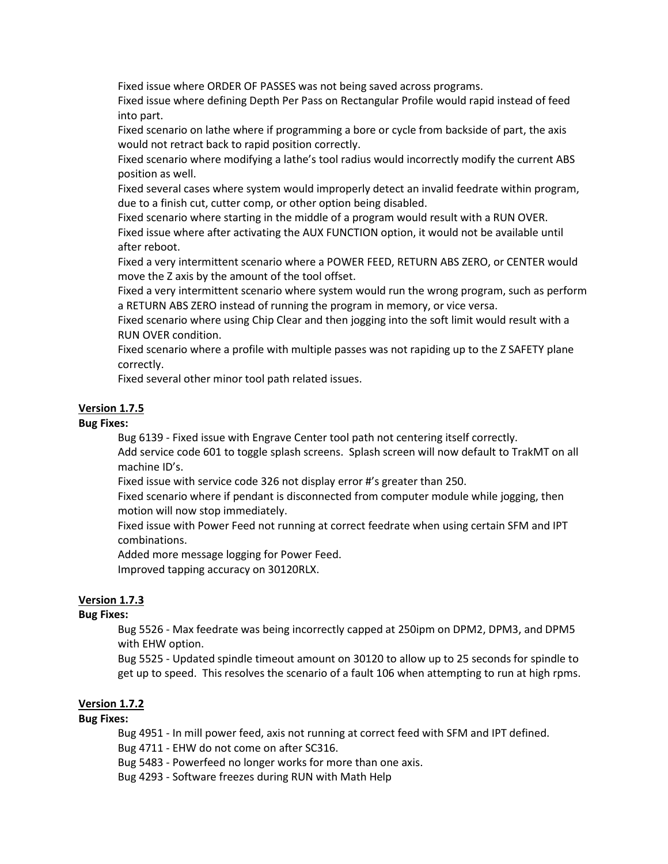Fixed issue where ORDER OF PASSES was not being saved across programs.

Fixed issue where defining Depth Per Pass on Rectangular Profile would rapid instead of feed into part.

Fixed scenario on lathe where if programming a bore or cycle from backside of part, the axis would not retract back to rapid position correctly.

Fixed scenario where modifying a lathe's tool radius would incorrectly modify the current ABS position as well.

Fixed several cases where system would improperly detect an invalid feedrate within program, due to a finish cut, cutter comp, or other option being disabled.

Fixed scenario where starting in the middle of a program would result with a RUN OVER. Fixed issue where after activating the AUX FUNCTION option, it would not be available until after reboot.

Fixed a very intermittent scenario where a POWER FEED, RETURN ABS ZERO, or CENTER would move the Z axis by the amount of the tool offset.

Fixed a very intermittent scenario where system would run the wrong program, such as perform a RETURN ABS ZERO instead of running the program in memory, or vice versa.

Fixed scenario where using Chip Clear and then jogging into the soft limit would result with a RUN OVER condition.

Fixed scenario where a profile with multiple passes was not rapiding up to the Z SAFETY plane correctly.

Fixed several other minor tool path related issues.

# **Version 1.7.5**

## **Bug Fixes:**

Bug 6139 - Fixed issue with Engrave Center tool path not centering itself correctly. Add service code 601 to toggle splash screens. Splash screen will now default to TrakMT on all

machine ID's.

Fixed issue with service code 326 not display error #'s greater than 250.

Fixed scenario where if pendant is disconnected from computer module while jogging, then motion will now stop immediately.

Fixed issue with Power Feed not running at correct feedrate when using certain SFM and IPT combinations.

Added more message logging for Power Feed.

Improved tapping accuracy on 30120RLX.

# **Version 1.7.3**

# **Bug Fixes:**

Bug 5526 - Max feedrate was being incorrectly capped at 250ipm on DPM2, DPM3, and DPM5 with EHW option.

Bug 5525 - Updated spindle timeout amount on 30120 to allow up to 25 seconds for spindle to get up to speed. This resolves the scenario of a fault 106 when attempting to run at high rpms.

# **Version 1.7.2**

# **Bug Fixes:**

Bug 4951 - In mill power feed, axis not running at correct feed with SFM and IPT defined.

Bug 4711 - EHW do not come on after SC316.

Bug 5483 - Powerfeed no longer works for more than one axis.

Bug 4293 - Software freezes during RUN with Math Help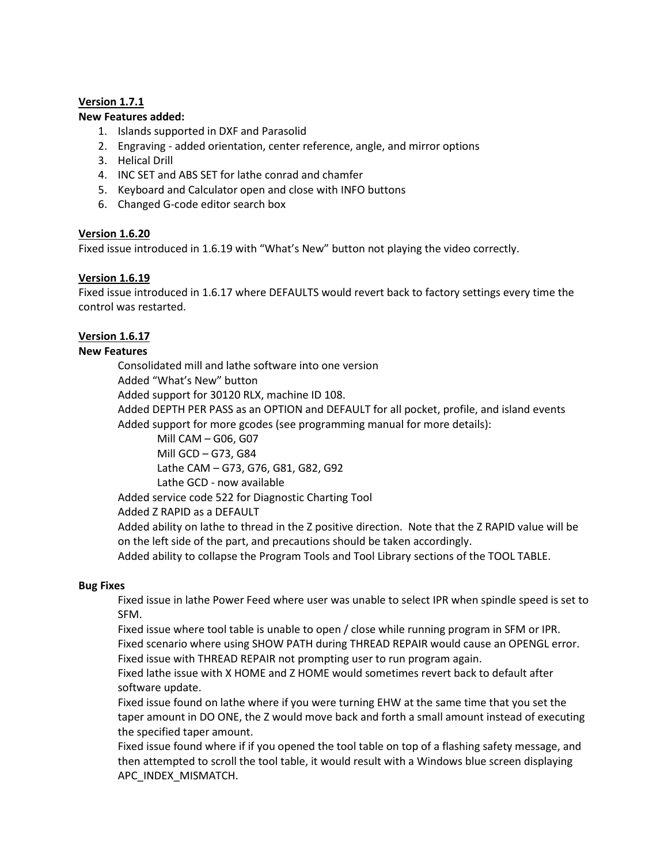# **Version 1.7.1**

# **New Features added:**

- 1. Islands supported in DXF and Parasolid
- 2. Engraving added orientation, center reference, angle, and mirror options
- 3. Helical Drill
- 4. INC SET and ABS SET for lathe conrad and chamfer
- 5. Keyboard and Calculator open and close with INFO buttons
- 6. Changed G-code editor search box

# **Version 1.6.20**

Fixed issue introduced in 1.6.19 with "What's New" button not playing the video correctly.

# **Version 1.6.19**

Fixed issue introduced in 1.6.17 where DEFAULTS would revert back to factory settings every time the control was restarted.

# **Version 1.6.17**

# **New Features**

Consolidated mill and lathe software into one version

Added "What's New" button

Added support for 30120 RLX, machine ID 108.

Added DEPTH PER PASS as an OPTION and DEFAULT for all pocket, profile, and island events Added support for more gcodes (see programming manual for more details):

Mill CAM – G06, G07

Mill GCD – G73, G84

Lathe CAM – G73, G76, G81, G82, G92

Lathe GCD - now available

Added service code 522 for Diagnostic Charting Tool

Added Z RAPID as a DEFAULT

Added ability on lathe to thread in the Z positive direction. Note that the Z RAPID value will be on the left side of the part, and precautions should be taken accordingly.

Added ability to collapse the Program Tools and Tool Library sections of the TOOL TABLE.

# **Bug Fixes**

Fixed issue in lathe Power Feed where user was unable to select IPR when spindle speed is set to SFM.

Fixed issue where tool table is unable to open / close while running program in SFM or IPR. Fixed scenario where using SHOW PATH during THREAD REPAIR would cause an OPENGL error. Fixed issue with THREAD REPAIR not prompting user to run program again.

Fixed lathe issue with X HOME and Z HOME would sometimes revert back to default after software update.

Fixed issue found on lathe where if you were turning EHW at the same time that you set the taper amount in DO ONE, the Z would move back and forth a small amount instead of executing the specified taper amount.

Fixed issue found where if if you opened the tool table on top of a flashing safety message, and then attempted to scroll the tool table, it would result with a Windows blue screen displaying APC\_INDEX\_MISMATCH.